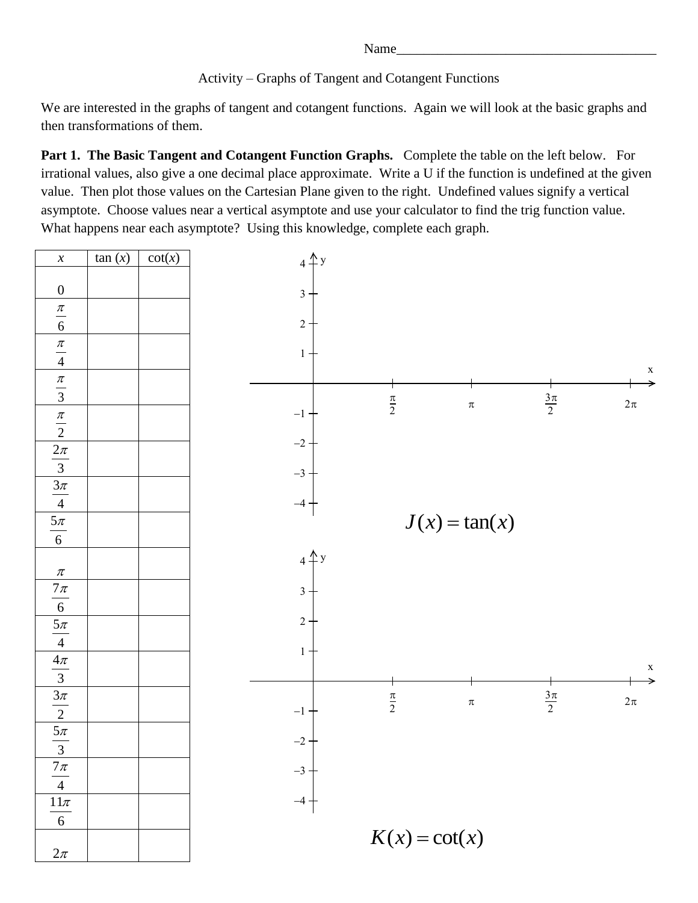Name\_

Activity – Graphs of Tangent and Cotangent Functions

We are interested in the graphs of tangent and cotangent functions. Again we will look at the basic graphs and then transformations of them.

**Part 1. The Basic Tangent and Cotangent Function Graphs.** Complete the table on the left below. For irrational values, also give a one decimal place approximate. Write a U if the function is undefined at the given value. Then plot those values on the Cartesian Plane given to the right. Undefined values signify a vertical asymptote. Choose values near a vertical asymptote and use your calculator to find the trig function value. What happens near each asymptote? Using this knowledge, complete each graph.

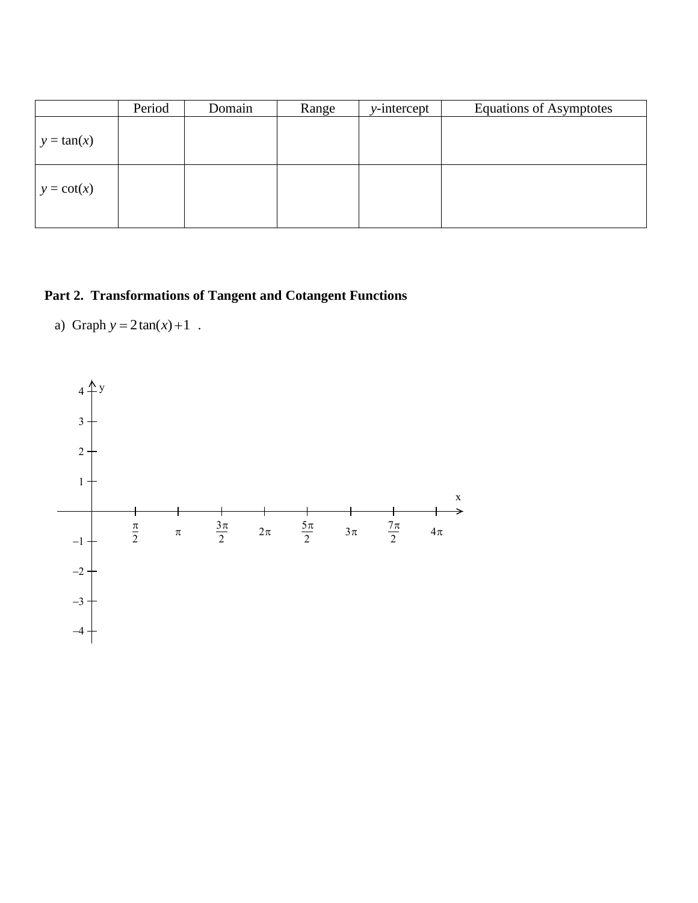|               | Period | Domain | Range | $y-intercept$ | <b>Equations of Asymptotes</b> |
|---------------|--------|--------|-------|---------------|--------------------------------|
| $y = \tan(x)$ |        |        |       |               |                                |
| $y = \cot(x)$ |        |        |       |               |                                |

## **Part 2. Transformations of Tangent and Cotangent Functions**

a) Graph  $y = 2 \tan(x) + 1$ .